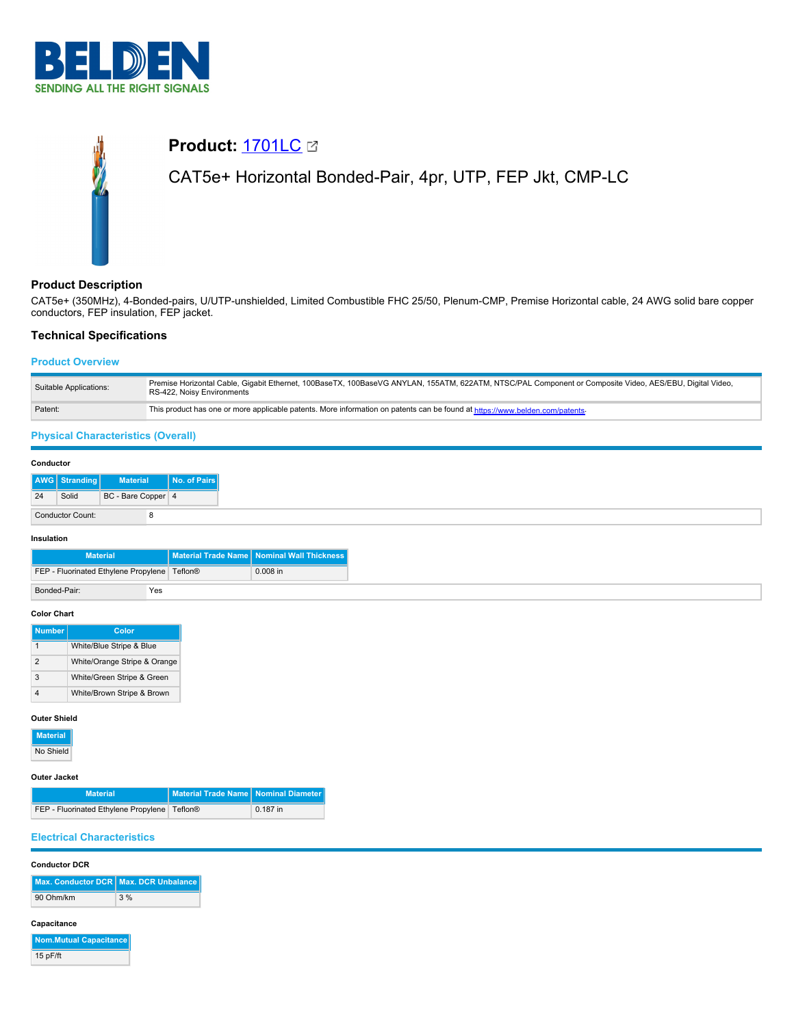

# **Product:** [1701LC](https://catalog.belden.com/index.cfm?event=pd&p=PF_1701LC&tab=downloads) CAT5e+ Horizontal Bonded-Pair, 4pr, UTP, FEP Jkt, CMP-LC

# **Product Description**

CAT5e+ (350MHz), 4-Bonded-pairs, U/UTP-unshielded, Limited Combustible FHC 25/50, Plenum-CMP, Premise Horizontal cable, 24 AWG solid bare copper conductors, FEP insulation, FEP jacket.

## **Technical Specifications**

## **Product Overview**

| Suitable Applications: | Premise Horizontal Cable, Gigabit Ethernet, 100BaseTX, 100BaseVG ANYLAN, 155ATM, 622ATM, NTSC/PAL Component or Composite Video, AES/EBU, Digital Video,<br>RS-422, Noisy Environments |
|------------------------|---------------------------------------------------------------------------------------------------------------------------------------------------------------------------------------|
| Patent:                | This product has one or more applicable patents. More information on patents can be found at https://www.belden.com/patents-                                                          |

# **Physical Characteristics (Overall)**

| Conductor |                  |                    |              |
|-----------|------------------|--------------------|--------------|
|           | AWG Stranding    | <b>Material</b>    | No. of Pairs |
| 24        | Solid            | BC - Bare Copper 4 |              |
|           | Conductor Count: |                    |              |

#### **Insulation**

| <b>Material</b>                                |     | Material Trade Name   Nominal Wall Thickness |
|------------------------------------------------|-----|----------------------------------------------|
| FEP - Fluorinated Ethylene Propylene   Teflon® |     | $0.008$ in                                   |
| Bonded-Pair:                                   | Yes |                                              |

#### **Color Chart**

| <b>Number</b> | Color                        |
|---------------|------------------------------|
| 1             | White/Blue Stripe & Blue     |
| $\mathcal{P}$ | White/Orange Stripe & Orange |
| 3             | White/Green Stripe & Green   |
|               | White/Brown Stripe & Brown   |

## **Outer Shield**

| <b>Material</b> |
|-----------------|
| No Shield       |

#### **Outer Jacket**

| <b>Material</b>                                | Material Trade Name   Nominal Diameter |            |
|------------------------------------------------|----------------------------------------|------------|
| FEP - Fluorinated Ethylene Propylene   Teflon® |                                        | $0.187$ in |

## **Electrical Characteristics**

### **Conductor DCR**

|           | Max. Conductor DCR Max. DCR Unbalance |
|-----------|---------------------------------------|
| 90 Ohm/km | 3%                                    |

#### **Capacitance**

| Nom.Mutual Capacitance |
|------------------------|
| 15 pF/ft               |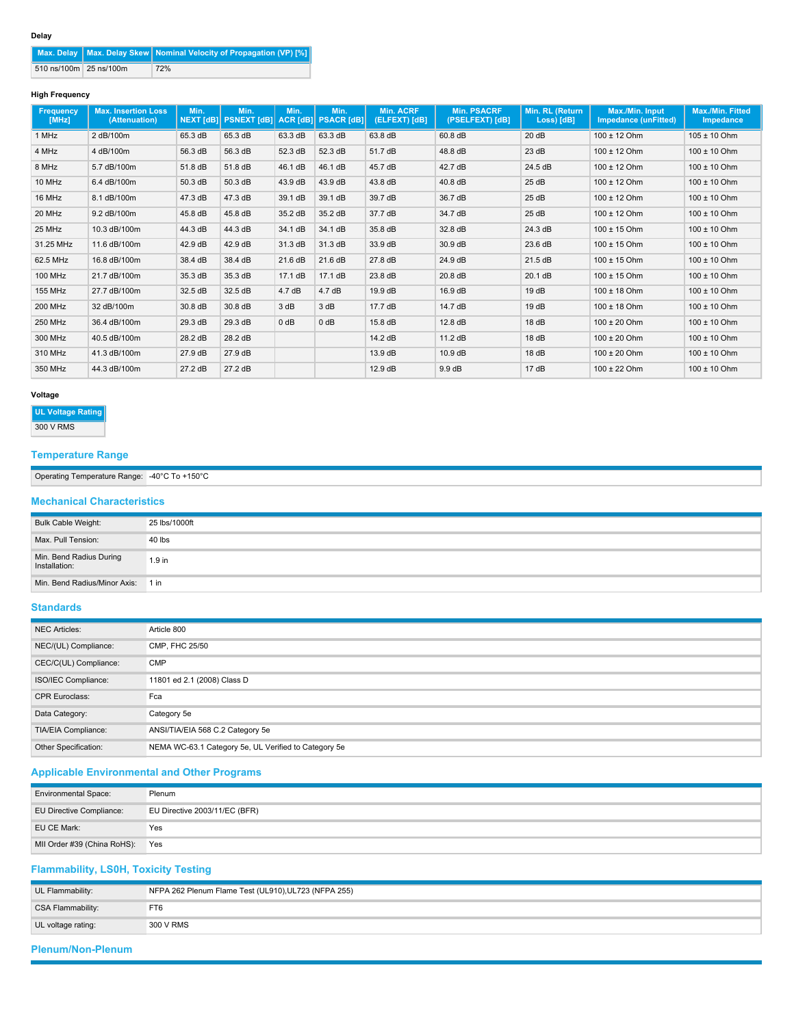|                        | Max. Delay   Max. Delay Skew   Nominal Velocity of Propagation (VP) [%] |
|------------------------|-------------------------------------------------------------------------|
| 510 ns/100m 25 ns/100m | 72%                                                                     |

## **High Frequency**

| Frequency<br>[MHz] | <b>Max. Insertion Loss</b><br>(Attenuation) | Min.<br><b>NEXT [dB]</b> | Min.<br><b>PSNEXT [dB]</b> | Min.    | Min.<br>ACR [dB] PSACR [dB] | <b>Min. ACRF</b><br>(ELFEXT) [dB] | <b>Min. PSACRF</b><br>(PSELFEXT) [dB] | Min. RL (Return<br>Loss) [dB] | Max./Min. Input<br><b>Impedance (unFitted)</b> | Max./Min. Fitted<br>Impedance |
|--------------------|---------------------------------------------|--------------------------|----------------------------|---------|-----------------------------|-----------------------------------|---------------------------------------|-------------------------------|------------------------------------------------|-------------------------------|
| 1 MHz              | 2 dB/100m                                   | 65.3 dB                  | 65.3 dB                    | 63.3 dB | 63.3 dB                     | 63.8 dB                           | 60.8 dB                               | 20 dB                         | 100 ± 12 Ohm                                   | $105 \pm 10$ Ohm              |
| 4 MHz              | 4 dB/100m                                   | 56.3 dB                  | 56.3 dB                    | 52.3 dB | 52.3 dB                     | 51.7 dB                           | 48.8 dB                               | 23 dB                         | 100 ± 12 Ohm                                   | $100 \pm 10$ Ohm              |
| 8 MHz              | 5.7 dB/100m                                 | 51.8 dB                  | 51.8 dB                    | 46.1 dB | 46.1 dB                     | 45.7 dB                           | 42.7 dB                               | 24.5 dB                       | $100 \pm 12$ Ohm                               | $100 \pm 10$ Ohm              |
| 10 MHz             | 6.4 dB/100m                                 | 50.3 dB                  | 50.3 dB                    | 43.9 dB | 43.9 dB                     | 43.8 dB                           | 40.8 dB                               | 25dB                          | $100 \pm 12$ Ohm                               | $100 \pm 10$ Ohm              |
| 16 MHz             | 8.1 dB/100m                                 | 47.3 dB                  | 47.3 dB                    | 39.1 dB | 39.1 dB                     | 39.7 dB                           | 36.7 dB                               | 25dB                          | $100 \pm 12$ Ohm                               | $100 \pm 10$ Ohm              |
| 20 MHz             | 9.2 dB/100m                                 | 45.8 dB                  | 45.8 dB                    | 35.2 dB | 35.2 dB                     | 37.7 dB                           | 34.7 dB                               | 25dB                          | 100 ± 12 Ohm                                   | $100 \pm 10$ Ohm              |
| 25 MHz             | 10.3 dB/100m                                | 44.3 dB                  | 44.3 dB                    | 34.1 dB | 34.1 dB                     | 35.8 dB                           | 32.8 dB                               | 24.3 dB                       | $100 \pm 15$ Ohm                               | $100 \pm 10$ Ohm              |
| 31.25 MHz          | 11.6 dB/100m                                | 42.9 dB                  | 42.9 dB                    | 31.3 dB | 31.3 dB                     | 33.9 dB                           | 30.9 dB                               | 23.6 dB                       | $100 \pm 15$ Ohm                               | $100 \pm 10$ Ohm              |
| 62.5 MHz           | 16.8 dB/100m                                | 38.4 dB                  | 38.4 dB                    | 21.6 dB | 21.6 dB                     | 27.8 dB                           | 24.9 dB                               | 21.5 dB                       | $100 \pm 15$ Ohm                               | $100 \pm 10$ Ohm              |
| 100 MHz            | 21.7 dB/100m                                | 35.3 dB                  | 35.3 dB                    | 17.1 dB | 17.1dB                      | 23.8 dB                           | 20.8 dB                               | 20.1 dB                       | $100 \pm 15$ Ohm                               | $100 \pm 10$ Ohm              |
| <b>155 MHz</b>     | 27.7 dB/100m                                | 32.5 dB                  | 32.5 dB                    | 4.7dB   | 4.7dB                       | 19.9 dB                           | 16.9 dB                               | 19dB                          | $100 \pm 18$ Ohm                               | $100 \pm 10$ Ohm              |
| 200 MHz            | 32 dB/100m                                  | 30.8 dB                  | 30.8 dB                    | 3 dB    | 3 dB                        | 17.7 dB                           | 14.7 dB                               | 19dB                          | $100 \pm 18$ Ohm                               | $100 \pm 10$ Ohm              |
| <b>250 MHz</b>     | 36.4 dB/100m                                | 29.3 dB                  | 29.3 dB                    | 0 dB    | $0$ dB                      | 15.8 dB                           | 12.8 dB                               | 18 dB                         | $100 \pm 20$ Ohm                               | $100 \pm 10$ Ohm              |
| 300 MHz            | 40.5 dB/100m                                | 28.2 dB                  | 28.2 dB                    |         |                             | 14.2 dB                           | 11.2 dB                               | 18 dB                         | $100 \pm 20$ Ohm                               | $100 \pm 10$ Ohm              |
| 310 MHz            | 41.3 dB/100m                                | 27.9 dB                  | 27.9 dB                    |         |                             | 13.9 dB                           | 10.9 dB                               | 18dB                          | $100 \pm 20$ Ohm                               | $100 \pm 10$ Ohm              |
| 350 MHz            | 44.3 dB/100m                                | 27.2 dB                  | 27.2 dB                    |         |                             | 12.9 dB                           | 9.9 dB                                | 17dB                          | $100 \pm 22$ Ohm                               | $100 \pm 10$ Ohm              |

## **Voltage**

## **UL Voltage Rating**

300 V RMS

# **Temperature Range**

| Derating<br>l emperature<br>$-$<br>mmmm<br><b>Rallue</b> | $\sim$<br>–⊿∩°′<br>-<br>$\sim$<br>$\cdot$<br><b>TU</b><br>. |
|----------------------------------------------------------|-------------------------------------------------------------|

## **Mechanical Characteristics**

| Bulk Cable Weight:                       | 25 lbs/1000ft     |
|------------------------------------------|-------------------|
| Max, Pull Tension:                       | 40 lbs            |
| Min. Bend Radius During<br>Installation: | 1.9 <sub>in</sub> |
| Min. Bend Radius/Minor Axis: 1 in        |                   |

# **Standards**

| <b>NEC Articles:</b>  | Article 800                                          |
|-----------------------|------------------------------------------------------|
| NEC/(UL) Compliance:  | CMP, FHC 25/50                                       |
| CEC/C(UL) Compliance: | <b>CMP</b>                                           |
| ISO/IEC Compliance:   | 11801 ed 2.1 (2008) Class D                          |
| <b>CPR Euroclass:</b> | Fca                                                  |
| Data Category:        | Category 5e                                          |
| TIA/EIA Compliance:   | ANSI/TIA/EIA 568 C.2 Category 5e                     |
| Other Specification:  | NEMA WC-63.1 Category 5e, UL Verified to Category 5e |

# **Applicable Environmental and Other Programs**

| <b>Environmental Space:</b>     | Plenum                        |
|---------------------------------|-------------------------------|
| <b>EU Directive Compliance:</b> | EU Directive 2003/11/EC (BFR) |
| EU CE Mark:                     | Yes                           |
| MII Order #39 (China RoHS):     | Yes                           |

# **Flammability, LS0H, Toxicity Testing**

| UL Flammability:   | NFPA 262 Plenum Flame Test (UL910), UL723 (NFPA 255) |  |  |
|--------------------|------------------------------------------------------|--|--|
| CSA Flammability:  | FT6                                                  |  |  |
| UL voltage rating: | 300 V RMS                                            |  |  |
|                    |                                                      |  |  |

# **Plenum/Non-Plenum**